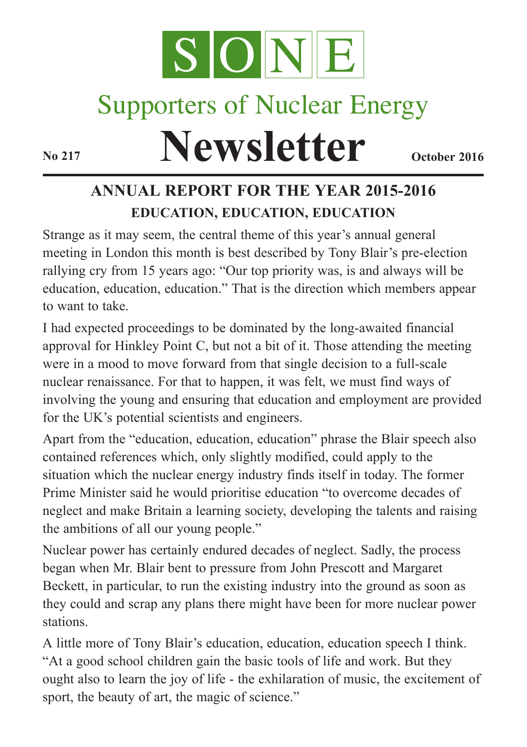

# Supporters of Nuclear Energy

**Newsletter October 2016** 

# **ANNUAL REPORT FOR THE YEAR 2015-2016 EDUCATION, EDUCATION, EDUCATION**

Strange as it may seem, the central theme of this year's annual general meeting in London this month is best described by Tony Blair's pre-election rallying cry from 15 years ago: "Our top priority was, is and always will be education, education, education." That is the direction which members appear to want to take.

I had expected proceedings to be dominated by the long-awaited financial approval for Hinkley Point C, but not a bit of it. Those attending the meeting were in a mood to move forward from that single decision to a full-scale nuclear renaissance. For that to happen, it was felt, we must find ways of involving the young and ensuring that education and employment are provided for the UK's potential scientists and engineers.

Apart from the "education, education, education" phrase the Blair speech also contained references which, only slightly modified, could apply to the situation which the nuclear energy industry finds itself in today. The former Prime Minister said he would prioritise education "to overcome decades of neglect and make Britain a learning society, developing the talents and raising the ambitions of all our young people."

Nuclear power has certainly endured decades of neglect. Sadly, the process began when Mr. Blair bent to pressure from John Prescott and Margaret Beckett, in particular, to run the existing industry into the ground as soon as they could and scrap any plans there might have been for more nuclear power stations.

A little more of Tony Blair's education, education, education speech I think. "At a good school children gain the basic tools of life and work. But they ought also to learn the joy of life - the exhilaration of music, the excitement of sport, the beauty of art, the magic of science."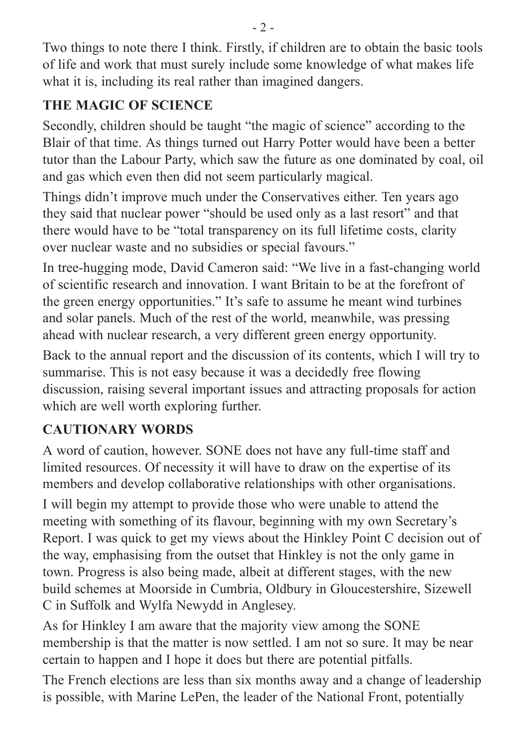Two things to note there I think. Firstly, if children are to obtain the basic tools of life and work that must surely include some knowledge of what makes life what it is, including its real rather than imagined dangers.

## **THE MAGIC OF SCIENCE**

Secondly, children should be taught "the magic of science" according to the Blair of that time. As things turned out Harry Potter would have been a better tutor than the Labour Party, which saw the future as one dominated by coal, oil and gas which even then did not seem particularly magical.

Things didn't improve much under the Conservatives either. Ten years ago they said that nuclear power "should be used only as a last resort" and that there would have to be "total transparency on its full lifetime costs, clarity over nuclear waste and no subsidies or special favours."

In tree-hugging mode, David Cameron said: "We live in a fast-changing world of scientific research and innovation. I want Britain to be at the forefront of the green energy opportunities." It's safe to assume he meant wind turbines and solar panels. Much of the rest of the world, meanwhile, was pressing ahead with nuclear research, a very different green energy opportunity.

Back to the annual report and the discussion of its contents, which I will try to summarise. This is not easy because it was a decidedly free flowing discussion, raising several important issues and attracting proposals for action which are well worth exploring further.

# **CAUTIONARY WORDS**

A word of caution, however. SONE does not have any full-time staff and limited resources. Of necessity it will have to draw on the expertise of its members and develop collaborative relationships with other organisations.

I will begin my attempt to provide those who were unable to attend the meeting with something of its flavour, beginning with my own Secretary's Report. I was quick to get my views about the Hinkley Point C decision out of the way, emphasising from the outset that Hinkley is not the only game in town. Progress is also being made, albeit at different stages, with the new build schemes at Moorside in Cumbria, Oldbury in Gloucestershire, Sizewell C in Suffolk and Wylfa Newydd in Anglesey.

As for Hinkley I am aware that the majority view among the SONE membership is that the matter is now settled. I am not so sure. It may be near certain to happen and I hope it does but there are potential pitfalls.

The French elections are less than six months away and a change of leadership is possible, with Marine LePen, the leader of the National Front, potentially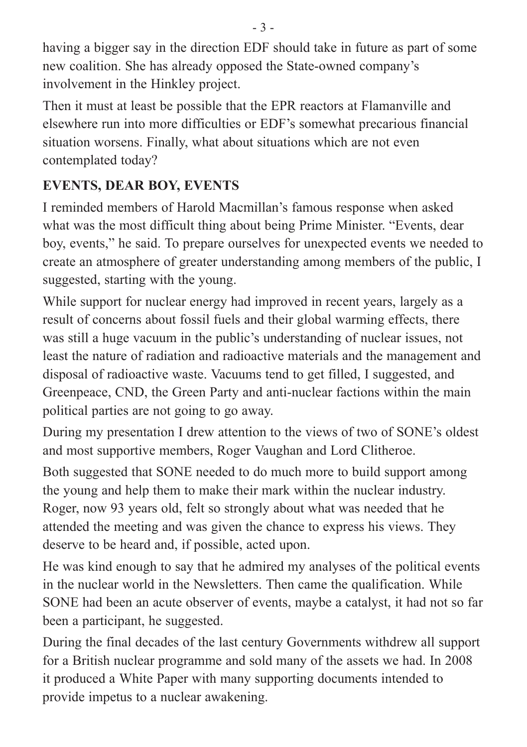having a bigger say in the direction EDF should take in future as part of some new coalition. She has already opposed the State-owned company's involvement in the Hinkley project.

Then it must at least be possible that the EPR reactors at Flamanville and elsewhere run into more difficulties or EDF's somewhat precarious financial situation worsens. Finally, what about situations which are not even contemplated today?

# **EVENTS, DEAR BOY, EVENTS**

I reminded members of Harold Macmillan's famous response when asked what was the most difficult thing about being Prime Minister. "Events, dear boy, events," he said. To prepare ourselves for unexpected events we needed to create an atmosphere of greater understanding among members of the public, I suggested, starting with the young.

While support for nuclear energy had improved in recent years, largely as a result of concerns about fossil fuels and their global warming effects, there was still a huge vacuum in the public's understanding of nuclear issues, not least the nature of radiation and radioactive materials and the management and disposal of radioactive waste. Vacuums tend to get filled, I suggested, and Greenpeace, CND, the Green Party and anti-nuclear factions within the main political parties are not going to go away.

During my presentation I drew attention to the views of two of SONE's oldest and most supportive members, Roger Vaughan and Lord Clitheroe.

Both suggested that SONE needed to do much more to build support among the young and help them to make their mark within the nuclear industry. Roger, now 93 years old, felt so strongly about what was needed that he attended the meeting and was given the chance to express his views. They deserve to be heard and, if possible, acted upon.

He was kind enough to say that he admired my analyses of the political events in the nuclear world in the Newsletters. Then came the qualification. While SONE had been an acute observer of events, maybe a catalyst, it had not so far been a participant, he suggested.

During the final decades of the last century Governments withdrew all support for a British nuclear programme and sold many of the assets we had. In 2008 it produced a White Paper with many supporting documents intended to provide impetus to a nuclear awakening.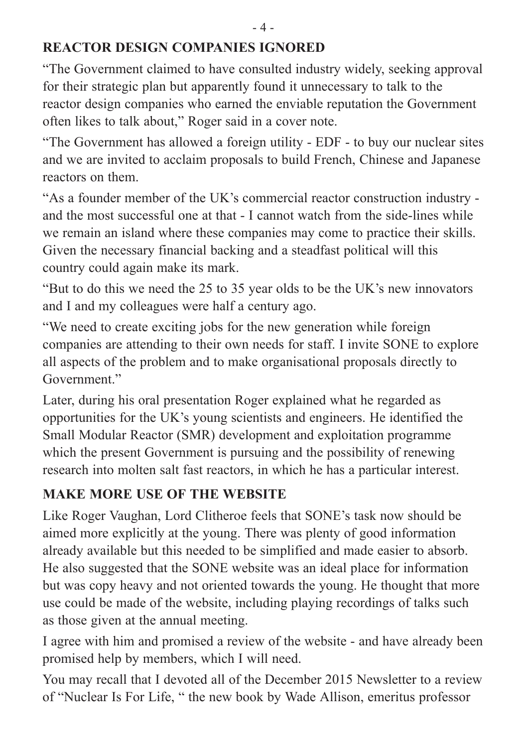#### **REACTOR DESIGN COMPANIES IGNORED**

"The Government claimed to have consulted industry widely, seeking approval for their strategic plan but apparently found it unnecessary to talk to the reactor design companies who earned the enviable reputation the Government often likes to talk about," Roger said in a cover note.

"The Government has allowed a foreign utility - EDF - to buy our nuclear sites and we are invited to acclaim proposals to build French, Chinese and Japanese reactors on them.

"As a founder member of the UK's commercial reactor construction industry and the most successful one at that - I cannot watch from the side-lines while we remain an island where these companies may come to practice their skills. Given the necessary financial backing and a steadfast political will this country could again make its mark.

"But to do this we need the 25 to 35 year olds to be the UK's new innovators and I and my colleagues were half a century ago.

"We need to create exciting jobs for the new generation while foreign companies are attending to their own needs for staff. I invite SONE to explore all aspects of the problem and to make organisational proposals directly to Government<sup>"</sup>

Later, during his oral presentation Roger explained what he regarded as opportunities for the UK's young scientists and engineers. He identified the Small Modular Reactor (SMR) development and exploitation programme which the present Government is pursuing and the possibility of renewing research into molten salt fast reactors, in which he has a particular interest.

## **MAKE MORE USE OF THE WEBSITE**

Like Roger Vaughan, Lord Clitheroe feels that SONE's task now should be aimed more explicitly at the young. There was plenty of good information already available but this needed to be simplified and made easier to absorb. He also suggested that the SONE website was an ideal place for information but was copy heavy and not oriented towards the young. He thought that more use could be made of the website, including playing recordings of talks such as those given at the annual meeting.

I agree with him and promised a review of the website - and have already been promised help by members, which I will need.

You may recall that I devoted all of the December 2015 Newsletter to a review of "Nuclear Is For Life, " the new book by Wade Allison, emeritus professor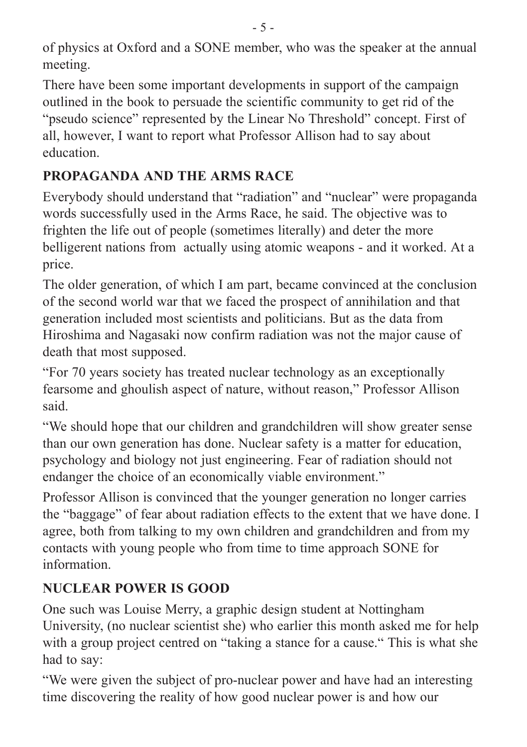of physics at Oxford and a SONE member, who was the speaker at the annual meeting.

There have been some important developments in support of the campaign outlined in the book to persuade the scientific community to get rid of the "pseudo science" represented by the Linear No Threshold" concept. First of all, however, I want to report what Professor Allison had to say about education.

#### **PROPAGANDA AND THE ARMS RACE**

Everybody should understand that "radiation" and "nuclear" were propaganda words successfully used in the Arms Race, he said. The objective was to frighten the life out of people (sometimes literally) and deter the more belligerent nations from actually using atomic weapons - and it worked. At a price.

The older generation, of which I am part, became convinced at the conclusion of the second world war that we faced the prospect of annihilation and that generation included most scientists and politicians. But as the data from Hiroshima and Nagasaki now confirm radiation was not the major cause of death that most supposed.

"For 70 years society has treated nuclear technology as an exceptionally fearsome and ghoulish aspect of nature, without reason," Professor Allison said.

"We should hope that our children and grandchildren will show greater sense than our own generation has done. Nuclear safety is a matter for education, psychology and biology not just engineering. Fear of radiation should not endanger the choice of an economically viable environment."

Professor Allison is convinced that the younger generation no longer carries the "baggage" of fear about radiation effects to the extent that we have done. I agree, both from talking to my own children and grandchildren and from my contacts with young people who from time to time approach SONE for information.

# **NUCLEAR POWER IS GOOD**

One such was Louise Merry, a graphic design student at Nottingham University, (no nuclear scientist she) who earlier this month asked me for help with a group project centred on "taking a stance for a cause." This is what she had to say:

"We were given the subject of pro-nuclear power and have had an interesting time discovering the reality of how good nuclear power is and how our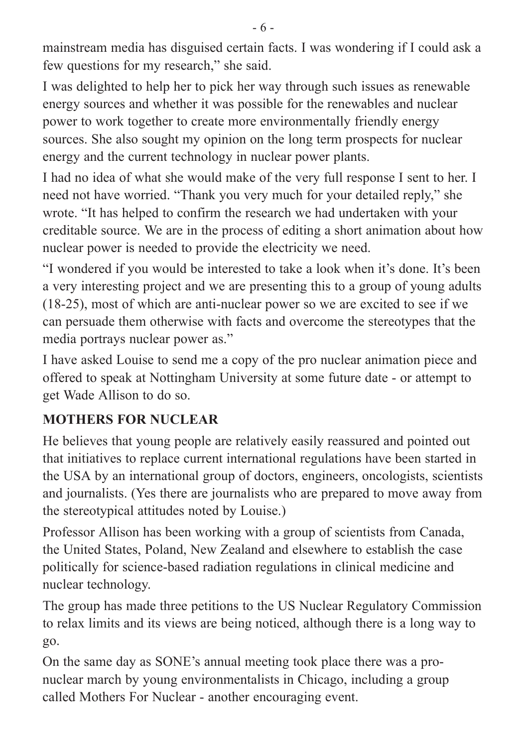mainstream media has disguised certain facts. I was wondering if I could ask a few questions for my research," she said.

I was delighted to help her to pick her way through such issues as renewable energy sources and whether it was possible for the renewables and nuclear power to work together to create more environmentally friendly energy sources. She also sought my opinion on the long term prospects for nuclear energy and the current technology in nuclear power plants.

I had no idea of what she would make of the very full response I sent to her. I need not have worried. "Thank you very much for your detailed reply," she wrote. "It has helped to confirm the research we had undertaken with your creditable source. We are in the process of editing a short animation about how nuclear power is needed to provide the electricity we need.

"I wondered if you would be interested to take a look when it's done. It's been a very interesting project and we are presenting this to a group of young adults (18-25), most of which are anti-nuclear power so we are excited to see if we can persuade them otherwise with facts and overcome the stereotypes that the media portrays nuclear power as."

I have asked Louise to send me a copy of the pro nuclear animation piece and offered to speak at Nottingham University at some future date - or attempt to get Wade Allison to do so.

#### **MOTHERS FOR NUCLEAR**

He believes that young people are relatively easily reassured and pointed out that initiatives to replace current international regulations have been started in the USA by an international group of doctors, engineers, oncologists, scientists and journalists. (Yes there are journalists who are prepared to move away from the stereotypical attitudes noted by Louise.)

Professor Allison has been working with a group of scientists from Canada, the United States, Poland, New Zealand and elsewhere to establish the case politically for science-based radiation regulations in clinical medicine and nuclear technology.

The group has made three petitions to the US Nuclear Regulatory Commission to relax limits and its views are being noticed, although there is a long way to go.

On the same day as SONE's annual meeting took place there was a pronuclear march by young environmentalists in Chicago, including a group called Mothers For Nuclear - another encouraging event.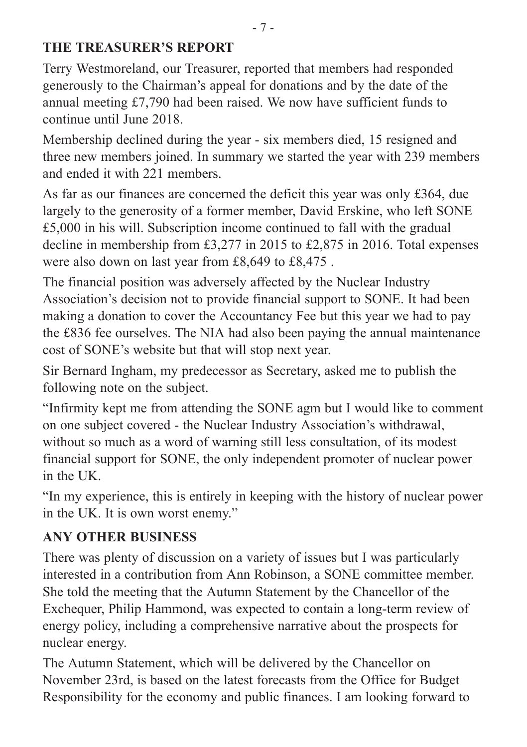#### **THE TREASURER'S REPORT**

Terry Westmoreland, our Treasurer, reported that members had responded generously to the Chairman's appeal for donations and by the date of the annual meeting £7,790 had been raised. We now have sufficient funds to continue until June 2018.

Membership declined during the year - six members died, 15 resigned and three new members joined. In summary we started the year with 239 members and ended it with 221 members.

As far as our finances are concerned the deficit this year was only £364, due largely to the generosity of a former member, David Erskine, who left SONE £5,000 in his will. Subscription income continued to fall with the gradual decline in membership from £3,277 in 2015 to £2,875 in 2016. Total expenses were also down on last year from £8,649 to £8,475 .

The financial position was adversely affected by the Nuclear Industry Association's decision not to provide financial support to SONE. It had been making a donation to cover the Accountancy Fee but this year we had to pay the £836 fee ourselves. The NIA had also been paying the annual maintenance cost of SONE's website but that will stop next year.

Sir Bernard Ingham, my predecessor as Secretary, asked me to publish the following note on the subject.

"Infirmity kept me from attending the SONE agm but I would like to comment on one subject covered - the Nuclear Industry Association's withdrawal, without so much as a word of warning still less consultation, of its modest financial support for SONE, the only independent promoter of nuclear power in the UK.

"In my experience, this is entirely in keeping with the history of nuclear power in the UK. It is own worst enemy."

#### **ANY OTHER BUSINESS**

There was plenty of discussion on a variety of issues but I was particularly interested in a contribution from Ann Robinson, a SONE committee member. She told the meeting that the Autumn Statement by the Chancellor of the Exchequer, Philip Hammond, was expected to contain a long-term review of energy policy, including a comprehensive narrative about the prospects for nuclear energy.

The Autumn Statement, which will be delivered by the Chancellor on November 23rd, is based on the latest forecasts from the Office for Budget Responsibility for the economy and public finances. I am looking forward to